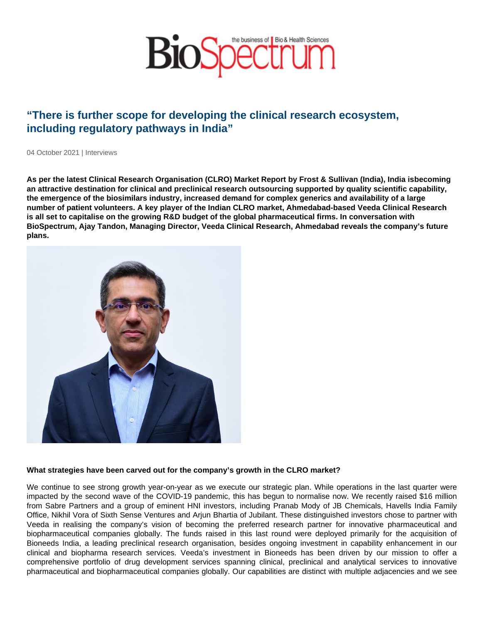# "There is further scope for developing the clinical research ecosystem, including regulatory pathways in India"

04 October 2021 | Interviews

As per the latest Clinical Research Organisation (CLRO) Market Report by Frost & Sullivan (India), India is becoming an attractive destination for clinical and preclinical research outsourcing supported by quality scientific capability, the emergence of the biosimilars industry, increased demand for complex generics and availability of a large number of patient volunteers. A key player of the Indian CLRO market, Ahmedabad-based Veeda Clinical Research is all set to capitalise on the growing R&D budget of the global pharmaceutical firms. In conversation with BioSpectrum, Ajay Tandon, Managing Director, Veeda Clinical Research, Ahmedabad reveals the company's future plans.

What strategies have been carved out for the company's growth in the CLRO market?

We continue to see strong growth year-on-year as we execute our strategic plan. While operations in the last quarter were impacted by the second wave of the COVID-19 pandemic, this has begun to normalise now. We recently raised \$16 million from Sabre Partners and a group of eminent HNI investors, including Pranab Mody of JB Chemicals, Havells India Family Office, Nikhil Vora of Sixth Sense Ventures and Arjun Bhartia of Jubilant. These distinguished investors chose to partner with Veeda in realising the company's vision of becoming the preferred research partner for innovative pharmaceutical and biopharmaceutical companies globally. The funds raised in this last round were deployed primarily for the acquisition of Bioneeds India, a leading preclinical research organisation, besides ongoing investment in capability enhancement in our clinical and biopharma research services. Veeda's investment in Bioneeds has been driven by our mission to offer a comprehensive portfolio of drug development services spanning clinical, preclinical and analytical services to innovative pharmaceutical and biopharmaceutical companies globally. Our capabilities are distinct with multiple adjacencies and we see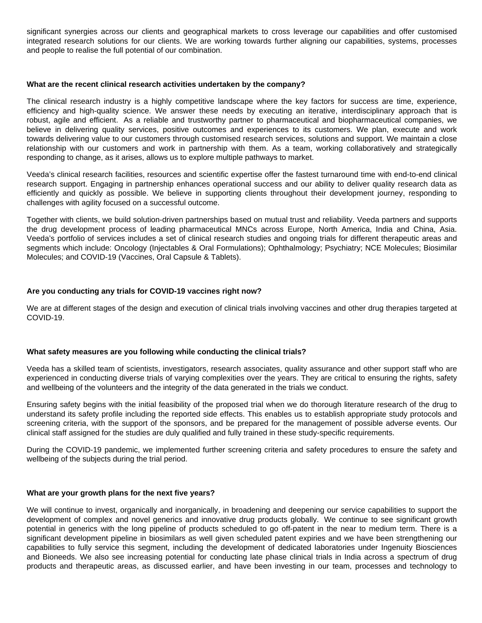significant synergies across our clients and geographical markets to cross leverage our capabilities and offer customised integrated research solutions for our clients. We are working towards further aligning our capabilities, systems, processes and people to realise the full potential of our combination.

#### **What are the recent clinical research activities undertaken by the company?**

The clinical research industry is a highly competitive landscape where the key factors for success are time, experience, efficiency and high-quality science. We answer these needs by executing an iterative, interdisciplinary approach that is robust, agile and efficient. As a reliable and trustworthy partner to pharmaceutical and biopharmaceutical companies, we believe in delivering quality services, positive outcomes and experiences to its customers. We plan, execute and work towards delivering value to our customers through customised research services, solutions and support. We maintain a close relationship with our customers and work in partnership with them. As a team, working collaboratively and strategically responding to change, as it arises, allows us to explore multiple pathways to market.

Veeda's clinical research facilities, resources and scientific expertise offer the fastest turnaround time with end-to-end clinical research support. Engaging in partnership enhances operational success and our ability to deliver quality research data as efficiently and quickly as possible. We believe in supporting clients throughout their development journey, responding to challenges with agility focused on a successful outcome.

Together with clients, we build solution-driven partnerships based on mutual trust and reliability. Veeda partners and supports the drug development process of leading pharmaceutical MNCs across Europe, North America, India and China, Asia. Veeda's portfolio of services includes a set of clinical research studies and ongoing trials for different therapeutic areas and segments which include: Oncology (Injectables & Oral Formulations); Ophthalmology; Psychiatry; NCE Molecules; Biosimilar Molecules; and COVID-19 (Vaccines, Oral Capsule & Tablets).

## **Are you conducting any trials for COVID-19 vaccines right now?**

We are at different stages of the design and execution of clinical trials involving vaccines and other drug therapies targeted at COVID-19.

### **What safety measures are you following while conducting the clinical trials?**

Veeda has a skilled team of scientists, investigators, research associates, quality assurance and other support staff who are experienced in conducting diverse trials of varying complexities over the years. They are critical to ensuring the rights, safety and wellbeing of the volunteers and the integrity of the data generated in the trials we conduct.

Ensuring safety begins with the initial feasibility of the proposed trial when we do thorough literature research of the drug to understand its safety profile including the reported side effects. This enables us to establish appropriate study protocols and screening criteria, with the support of the sponsors, and be prepared for the management of possible adverse events. Our clinical staff assigned for the studies are duly qualified and fully trained in these study-specific requirements.

During the COVID-19 pandemic, we implemented further screening criteria and safety procedures to ensure the safety and wellbeing of the subjects during the trial period.

### **What are your growth plans for the next five years?**

We will continue to invest, organically and inorganically, in broadening and deepening our service capabilities to support the development of complex and novel generics and innovative drug products globally. We continue to see significant growth potential in generics with the long pipeline of products scheduled to go off-patent in the near to medium term. There is a significant development pipeline in biosimilars as well given scheduled patent expiries and we have been strengthening our capabilities to fully service this segment, including the development of dedicated laboratories under Ingenuity Biosciences and Bioneeds. We also see increasing potential for conducting late phase clinical trials in India across a spectrum of drug products and therapeutic areas, as discussed earlier, and have been investing in our team, processes and technology to